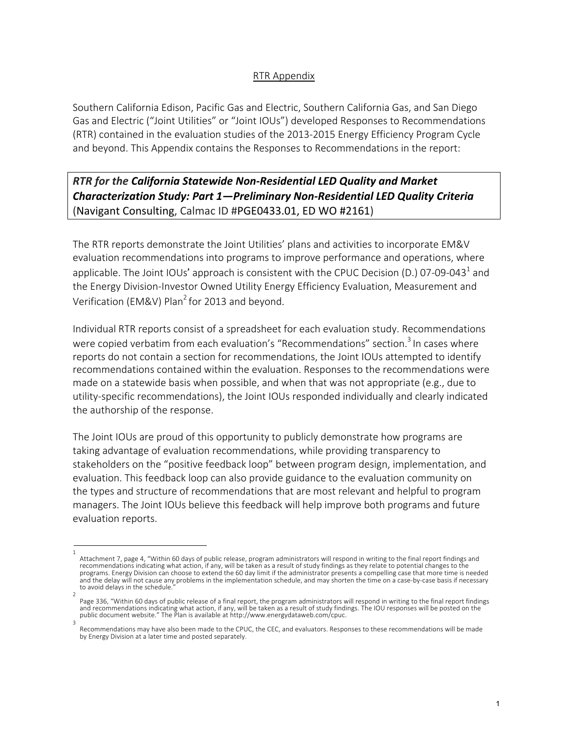## RTR Appendix

Southern California Edison, Pacific Gas and Electric, Southern California Gas, and San Diego Gas and Electric ("Joint Utilities" or "Joint IOUs") developed Responses to Recommendations (RTR) contained in the evaluation studies of the 2013-2015 Energy Efficiency Program Cycle and beyond. This Appendix contains the Responses to Recommendations in the report:

*RTR for the California Statewide Non-Residential LED Quality and Market Characterization Study: Part 1—Preliminary Non-Residential LED Quality Criteria* (Navigant Consulting, Calmac ID #PGE0433.01, ED WO #2161)

The RTR reports demonstrate the Joint Utilities' plans and activities to incorporate EM&V evaluation recommendations into programs to improve performance and operations, where applicable. The Joint IOUs' approach is consistent with the CPUC Decision (D.) 07-09-043<sup>1</sup> and the Energy Division-Investor Owned Utility Energy Efficiency Evaluation, Measurement and Verification (EM&V) Plan<sup>2</sup> for 2013 and beyond.

Individual RTR reports consist of a spreadsheet for each evaluation study. Recommendations were copied verbatim from each evaluation's "Recommendations" section.<sup>3</sup> In cases where reports do not contain a section for recommendations, the Joint IOUs attempted to identify recommendations contained within the evaluation. Responses to the recommendations were made on a statewide basis when possible, and when that was not appropriate (e.g., due to utility-specific recommendations), the Joint IOUs responded individually and clearly indicated the authorship of the response.

The Joint IOUs are proud of this opportunity to publicly demonstrate how programs are taking advantage of evaluation recommendations, while providing transparency to stakeholders on the "positive feedback loop" between program design, implementation, and evaluation. This feedback loop can also provide guidance to the evaluation community on the types and structure of recommendations that are most relevant and helpful to program managers. The Joint IOUs believe this feedback will help improve both programs and future evaluation reports.

<sup>1</sup>  Attachment 7, page 4, "Within 60 days of public release, program administrators will respond in writing to the final report findings and recommendations indicating what action, if any, will be taken as a result of study findings as they relate to potential changes to the programs. Energy Division can choose to extend the 60 day limit if the administrator presents a compelling case that more time is needed and the delay will not cause any problems in the implementation schedule, and may shorten the time on a case-by-case basis if necessary to avoid delays in the schedule.

<sup>2</sup>  Page 336, "Within 60 days of public release of a final report, the program administrators will respond in writing to the final report findings<br>and recommendations indicating what action, if any, will be taken as a result o public document website." The Plan is available at http://www.energydataweb.com/cpuc. 3

Recommendations may have also been made to the CPUC, the CEC, and evaluators. Responses to these recommendations will be made by Energy Division at a later time and posted separately.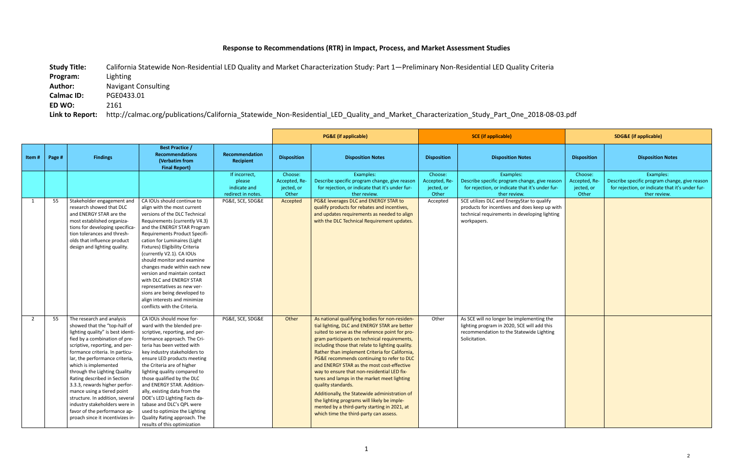## **Response to Recommendations (RTR) in Impact, Process, and Market Assessment Studies**

**Study Title:** California Statewide Non-Residential LED Quality and Market Characterization Study: Part 1—Preliminary Non-Residential LED Quality Criteria **Program:** Lighting **Author:** Navigant Consulting **Calmac ID:** PGE0433.01 **ED WO:** 2161 **Link to Report:** http://calmac.org/publications/California\_Statewide\_Non-Residential\_LED\_Quality\_and\_Market\_Characterization\_Study\_Part\_One\_2018-08-03.pdf

|       |        |                                                                                                                                                                                                                                                                                                                                                                                                                                                                                                                                     |                                                                                                                                                                                                                                                                                                                                                                                                                                                                                                                                                     |                                                               |                                                 | <b>PG&amp;E</b> (if applicable)                                                                                                                                                                                                                                                                                                                                                                                                                                                                                                                                                                                                                                                                                    | <b>SCE</b> (if applicable)                      |                                                                                                                                                             | <b>SDG&amp;E</b> (if applicable)                |                                                                                                                               |
|-------|--------|-------------------------------------------------------------------------------------------------------------------------------------------------------------------------------------------------------------------------------------------------------------------------------------------------------------------------------------------------------------------------------------------------------------------------------------------------------------------------------------------------------------------------------------|-----------------------------------------------------------------------------------------------------------------------------------------------------------------------------------------------------------------------------------------------------------------------------------------------------------------------------------------------------------------------------------------------------------------------------------------------------------------------------------------------------------------------------------------------------|---------------------------------------------------------------|-------------------------------------------------|--------------------------------------------------------------------------------------------------------------------------------------------------------------------------------------------------------------------------------------------------------------------------------------------------------------------------------------------------------------------------------------------------------------------------------------------------------------------------------------------------------------------------------------------------------------------------------------------------------------------------------------------------------------------------------------------------------------------|-------------------------------------------------|-------------------------------------------------------------------------------------------------------------------------------------------------------------|-------------------------------------------------|-------------------------------------------------------------------------------------------------------------------------------|
| Item# | Page # | <b>Findings</b>                                                                                                                                                                                                                                                                                                                                                                                                                                                                                                                     | <b>Best Practice /</b><br><b>Recommendations</b><br>(Verbatim from<br><b>Final Report)</b>                                                                                                                                                                                                                                                                                                                                                                                                                                                          | <b>Recommendation</b><br>Recipient                            | <b>Disposition</b>                              | <b>Disposition Notes</b>                                                                                                                                                                                                                                                                                                                                                                                                                                                                                                                                                                                                                                                                                           | <b>Disposition</b>                              | <b>Disposition Notes</b>                                                                                                                                    | <b>Disposition</b>                              | <b>Disposition Notes</b>                                                                                                      |
|       |        |                                                                                                                                                                                                                                                                                                                                                                                                                                                                                                                                     |                                                                                                                                                                                                                                                                                                                                                                                                                                                                                                                                                     | If incorrect,<br>please<br>indicate and<br>redirect in notes. | Choose:<br>Accepted, Re-<br>jected, or<br>Other | Examples:<br>Describe specific program change, give reason<br>for rejection, or indicate that it's under fur-<br>ther review.                                                                                                                                                                                                                                                                                                                                                                                                                                                                                                                                                                                      | Choose:<br>Accepted, Re-<br>jected, or<br>Other | Examples:<br>Describe specific program change, give reason<br>for rejection, or indicate that it's under fur-<br>ther review.                               | Choose:<br>Accepted, Re-<br>jected, or<br>Other | Examples:<br>Describe specific program change, give reason<br>for rejection, or indicate that it's under fur-<br>ther review. |
| 1     | 55     | Stakeholder engagement and<br>research showed that DLC<br>and ENERGY STAR are the<br>most established organiza-<br>tions for developing specifica<br>tion tolerances and thresh-<br>olds that influence product<br>design and lighting quality.                                                                                                                                                                                                                                                                                     | CA IOUs should continue to<br>align with the most current<br>versions of the DLC Technical<br>Requirements (currently V4.3)<br>and the ENERGY STAR Program<br>Requirements Product Specifi-<br>cation for Luminaires (Light<br>Fixtures) Eligibility Criteria<br>(currently V2.1). CA IOUs<br>should monitor and examine<br>changes made within each new<br>version and maintain contact<br>with DLC and ENERGY STAR<br>representatives as new ver-<br>sions are being developed to<br>align interests and minimize<br>conflicts with the Criteria. | PG&E, SCE, SDG&E                                              | Accepted                                        | PG&E leverages DLC and ENERGY STAR to<br>qualify products for rebates and incentives,<br>and updates requirements as needed to align<br>with the DLC Technical Requirement updates.                                                                                                                                                                                                                                                                                                                                                                                                                                                                                                                                | Accepted                                        | SCE utilizes DLC and EnergyStar to qualify<br>products for incentives and does keep up with<br>technical requirements in developing lighting<br>workpapers. |                                                 |                                                                                                                               |
| 2     | 55     | The research and analysis<br>showed that the "top-half of<br>lighting quality" is best identi-<br>fied by a combination of pre-<br>scriptive, reporting, and per-<br>formance criteria. In particu-<br>lar, the performance criteria,<br>which is implemented<br>through the Lighting Quality<br>Rating described in Section<br>3.3.3, rewards higher perfor-<br>mance using a tiered point<br>structure. In addition, several<br>industry stakeholders were in<br>favor of the performance ap-<br>proach since it incentivizes in- | CA IOUs should move for-<br>ward with the blended pre-<br>scriptive, reporting, and per-<br>formance approach. The Cri-<br>teria has been vetted with<br>key industry stakeholders to<br>ensure LED products meeting<br>the Criteria are of higher<br>lighting quality compared to<br>those qualified by the DLC<br>and ENERGY STAR. Addition-<br>ally, existing data from the<br>DOE's LED Lighting Facts da-<br>tabase and DLC's QPL were<br>used to optimize the Lighting<br>Quality Rating approach. The<br>results of this optimization        | PG&E, SCE, SDG&E                                              | Other                                           | As national qualifying bodies for non-residen-<br>tial lighting, DLC and ENERGY STAR are better<br>suited to serve as the reference point for pro-<br>gram participants on technical requirements,<br>including those that relate to lighting quality.<br>Rather than implement Criteria for California,<br>PG&E recommends continuing to refer to DLC<br>and ENERGY STAR as the most cost-effective<br>way to ensure that non-residential LED fix-<br>tures and lamps in the market meet lighting<br>quality standards.<br>Additionally, the Statewide administration of<br>the lighting programs will likely be imple-<br>mented by a third-party starting in 2021, at<br>which time the third-party can assess. | Other                                           | As SCE will no longer be implementing the<br>lighting program in 2020, SCE will add this<br>recommendation to the Statewide Lighting<br>Solicitation.       |                                                 |                                                                                                                               |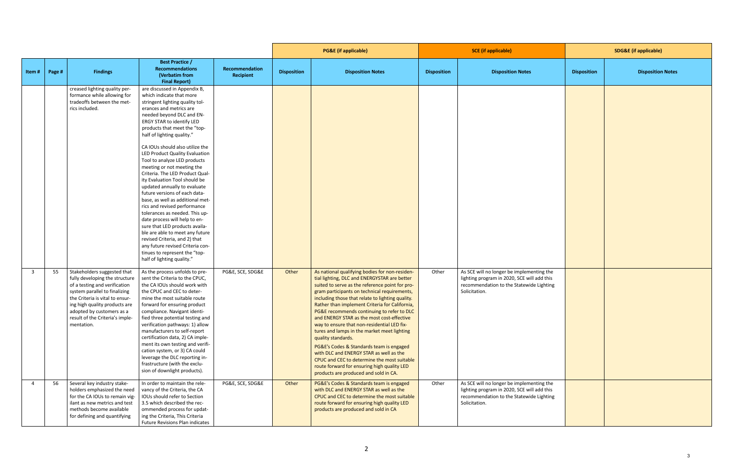|                |        |                                                                                                                                                                                                                                                                                   |                                                                                                                                                                                                                                                                                                                                                                                                                                                                                                                                                                                                                                                                                                                                                                                                                                                                        |                             | <b>PG&amp;E</b> (if applicable) |                                                                                                                                                                                                                                                                                                                                                                                                                                                                                                                                                                                                                                                                                                                                                       | <b>SCE</b> (if applicable) |                                                                                                                                                       | <b>SDG&amp;E (if applicable)</b> |                          |
|----------------|--------|-----------------------------------------------------------------------------------------------------------------------------------------------------------------------------------------------------------------------------------------------------------------------------------|------------------------------------------------------------------------------------------------------------------------------------------------------------------------------------------------------------------------------------------------------------------------------------------------------------------------------------------------------------------------------------------------------------------------------------------------------------------------------------------------------------------------------------------------------------------------------------------------------------------------------------------------------------------------------------------------------------------------------------------------------------------------------------------------------------------------------------------------------------------------|-----------------------------|---------------------------------|-------------------------------------------------------------------------------------------------------------------------------------------------------------------------------------------------------------------------------------------------------------------------------------------------------------------------------------------------------------------------------------------------------------------------------------------------------------------------------------------------------------------------------------------------------------------------------------------------------------------------------------------------------------------------------------------------------------------------------------------------------|----------------------------|-------------------------------------------------------------------------------------------------------------------------------------------------------|----------------------------------|--------------------------|
| Item#          | Page # | <b>Findings</b>                                                                                                                                                                                                                                                                   | <b>Best Practice /</b><br><b>Recommendations</b><br>(Verbatim from<br><b>Final Report)</b>                                                                                                                                                                                                                                                                                                                                                                                                                                                                                                                                                                                                                                                                                                                                                                             | Recommendation<br>Recipient | <b>Disposition</b>              | <b>Disposition Notes</b>                                                                                                                                                                                                                                                                                                                                                                                                                                                                                                                                                                                                                                                                                                                              | <b>Disposition</b>         | <b>Disposition Notes</b>                                                                                                                              | <b>Disposition</b>               | <b>Disposition Notes</b> |
|                |        | creased lighting quality per-<br>formance while allowing for<br>tradeoffs between the met-<br>rics included.                                                                                                                                                                      | are discussed in Appendix B,<br>which indicate that more<br>stringent lighting quality tol-<br>erances and metrics are<br>needed beyond DLC and EN-<br>ERGY STAR to identify LED<br>products that meet the "top-<br>half of lighting quality."<br>CA IOUs should also utilize the<br>LED Product Quality Evaluation<br>Tool to analyze LED products<br>meeting or not meeting the<br>Criteria. The LED Product Qual-<br>ity Evaluation Tool should be<br>updated annually to evaluate<br>future versions of each data-<br>base, as well as additional met-<br>rics and revised performance<br>tolerances as needed. This up-<br>date process will help to en-<br>sure that LED products availa-<br>ble are able to meet any future<br>revised Criteria, and 2) that<br>any future revised Criteria con-<br>tinues to represent the "top-<br>half of lighting quality." |                             |                                 |                                                                                                                                                                                                                                                                                                                                                                                                                                                                                                                                                                                                                                                                                                                                                       |                            |                                                                                                                                                       |                                  |                          |
| $\overline{3}$ | 55     | Stakeholders suggested that<br>fully developing the structure<br>of a testing and verification<br>system parallel to finalizing<br>the Criteria is vital to ensur-<br>ing high quality products are<br>adopted by customers as a<br>result of the Criteria's imple-<br>mentation. | As the process unfolds to pre-<br>sent the Criteria to the CPUC,<br>the CA IOUs should work with<br>the CPUC and CEC to deter-<br>mine the most suitable route<br>forward for ensuring product<br>compliance. Navigant identi-<br>fied three potential testing and<br>verification pathways: 1) allow<br>manufacturers to self-report<br>certification data, 2) CA imple-<br>ment its own testing and verifi-<br>cation system, or 3) CA could<br>leverage the DLC reporting in-<br>frastructure (with the exclu-<br>sion of downlight products).                                                                                                                                                                                                                                                                                                                      | PG&E, SCE, SDG&E            | Other                           | As national qualifying bodies for non-residen-<br>tial lighting, DLC and ENERGYSTAR are better<br>suited to serve as the reference point for pro-<br>gram participants on technical requirements,<br>including those that relate to lighting quality.<br>Rather than implement Criteria for California,<br>PG&E recommends continuing to refer to DLC<br>and ENERGY STAR as the most cost-effective<br>way to ensure that non-residential LED fix-<br>tures and lamps in the market meet lighting<br>quality standards.<br>PG&E's Codes & Standards team is engaged<br>with DLC and ENERGY STAR as well as the<br>CPUC and CEC to determine the most suitable<br>route forward for ensuring high quality LED<br>products are produced and sold in CA. | Other                      | As SCE will no longer be implementing the<br>lighting program in 2020, SCE will add this<br>recommendation to the Statewide Lighting<br>Solicitation. |                                  |                          |
| $\overline{a}$ | 56     | Several key industry stake-<br>holders emphasized the need<br>for the CA IOUs to remain vig-<br>ilant as new metrics and test<br>methods become available<br>for defining and quantifying                                                                                         | In order to maintain the rele-<br>vancy of the Criteria, the CA<br>IOUs should refer to Section<br>3.5 which described the rec-<br>ommended process for updat-<br>ing the Criteria, This Criteria<br>Future Revisions Plan indicates                                                                                                                                                                                                                                                                                                                                                                                                                                                                                                                                                                                                                                   | PG&E, SCE, SDG&E            | Other                           | PG&E's Codes & Standards team is engaged<br>with DLC and ENERGY STAR as well as the<br>CPUC and CEC to determine the most suitable<br>route forward for ensuring high quality LED<br>products are produced and sold in CA                                                                                                                                                                                                                                                                                                                                                                                                                                                                                                                             | Other                      | As SCE will no longer be implementing the<br>lighting program in 2020, SCE will add this<br>recommendation to the Statewide Lighting<br>Solicitation. |                                  |                          |